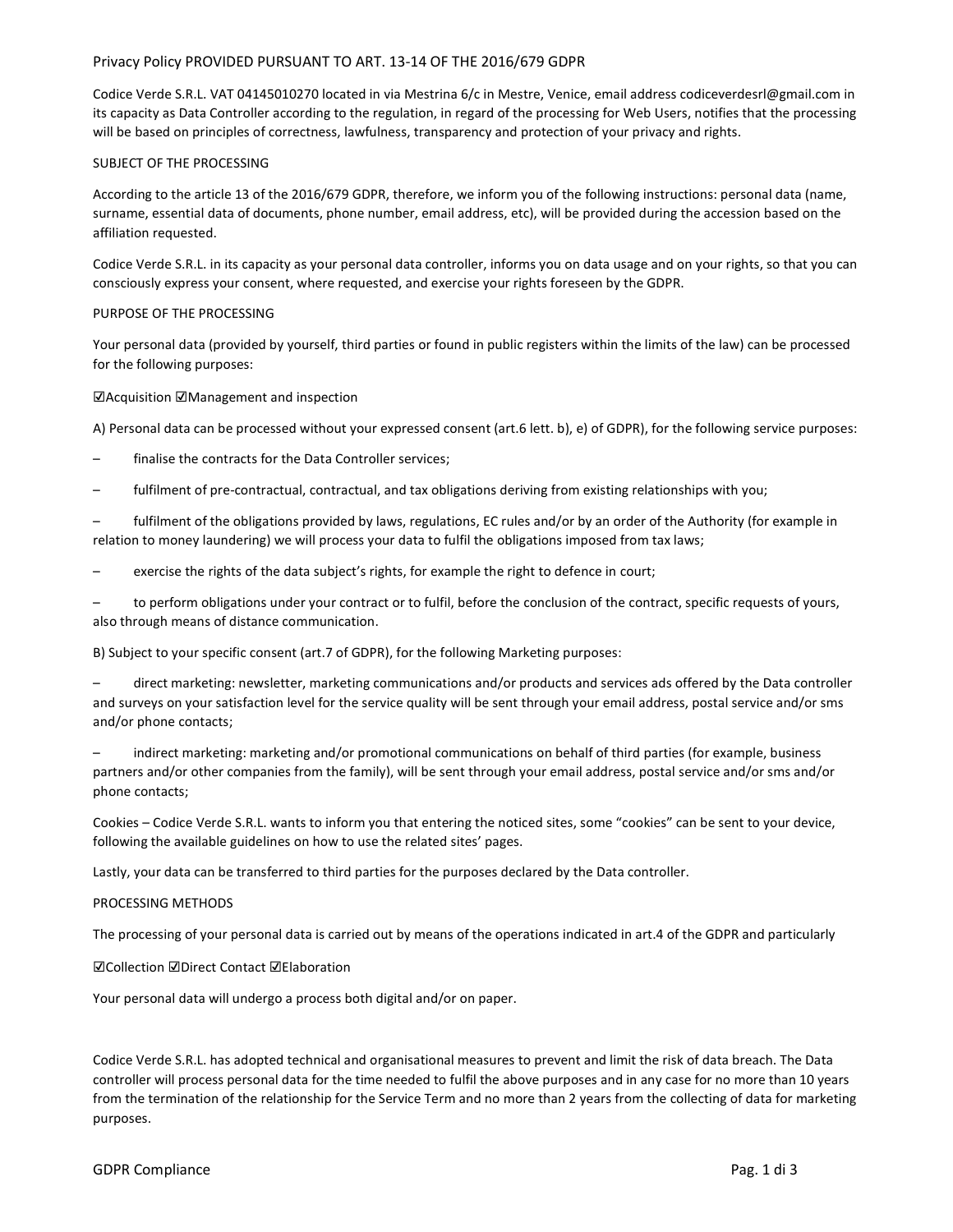# Privacy Policy PROVIDED PURSUANT TO ART. 13-14 OF THE 2016/679 GDPR

Codice Verde S.R.L. VAT 04145010270 located in via Mestrina 6/c in Mestre, Venice, email address codiceverdesrl@gmail.com in its capacity as Data Controller according to the regulation, in regard of the processing for Web Users, notifies that the processing will be based on principles of correctness, lawfulness, transparency and protection of your privacy and rights.

# SUBJECT OF THE PROCESSING

According to the article 13 of the 2016/679 GDPR, therefore, we inform you of the following instructions: personal data (name, surname, essential data of documents, phone number, email address, etc), will be provided during the accession based on the affiliation requested.

Codice Verde S.R.L. in its capacity as your personal data controller, informs you on data usage and on your rights, so that you can consciously express your consent, where requested, and exercise your rights foreseen by the GDPR.

## PURPOSE OF THE PROCESSING

Your personal data (provided by yourself, third parties or found in public registers within the limits of the law) can be processed for the following purposes:

# ☑Acquisition ☑Management and inspection

A) Personal data can be processed without your expressed consent (art.6 lett. b), e) of GDPR), for the following service purposes:

- finalise the contracts for the Data Controller services;
- fulfilment of pre-contractual, contractual, and tax obligations deriving from existing relationships with you;
- fulfilment of the obligations provided by laws, regulations, EC rules and/or by an order of the Authority (for example in relation to money laundering) we will process your data to fulfil the obligations imposed from tax laws;
- exercise the rights of the data subject's rights, for example the right to defence in court;

to perform obligations under your contract or to fulfil, before the conclusion of the contract, specific requests of yours, also through means of distance communication.

B) Subject to your specific consent (art.7 of GDPR), for the following Marketing purposes:

– direct marketing: newsletter, marketing communications and/or products and services ads offered by the Data controller and surveys on your satisfaction level for the service quality will be sent through your email address, postal service and/or sms and/or phone contacts;

– indirect marketing: marketing and/or promotional communications on behalf of third parties (for example, business partners and/or other companies from the family), will be sent through your email address, postal service and/or sms and/or phone contacts;

Cookies – Codice Verde S.R.L. wants to inform you that entering the noticed sites, some "cookies" can be sent to your device, following the available guidelines on how to use the related sites' pages.

Lastly, your data can be transferred to third parties for the purposes declared by the Data controller.

### PROCESSING METHODS

The processing of your personal data is carried out by means of the operations indicated in art.4 of the GDPR and particularly

☑Collection ☑Direct Contact ☑Elaboration

Your personal data will undergo a process both digital and/or on paper.

Codice Verde S.R.L. has adopted technical and organisational measures to prevent and limit the risk of data breach. The Data controller will process personal data for the time needed to fulfil the above purposes and in any case for no more than 10 years from the termination of the relationship for the Service Term and no more than 2 years from the collecting of data for marketing purposes.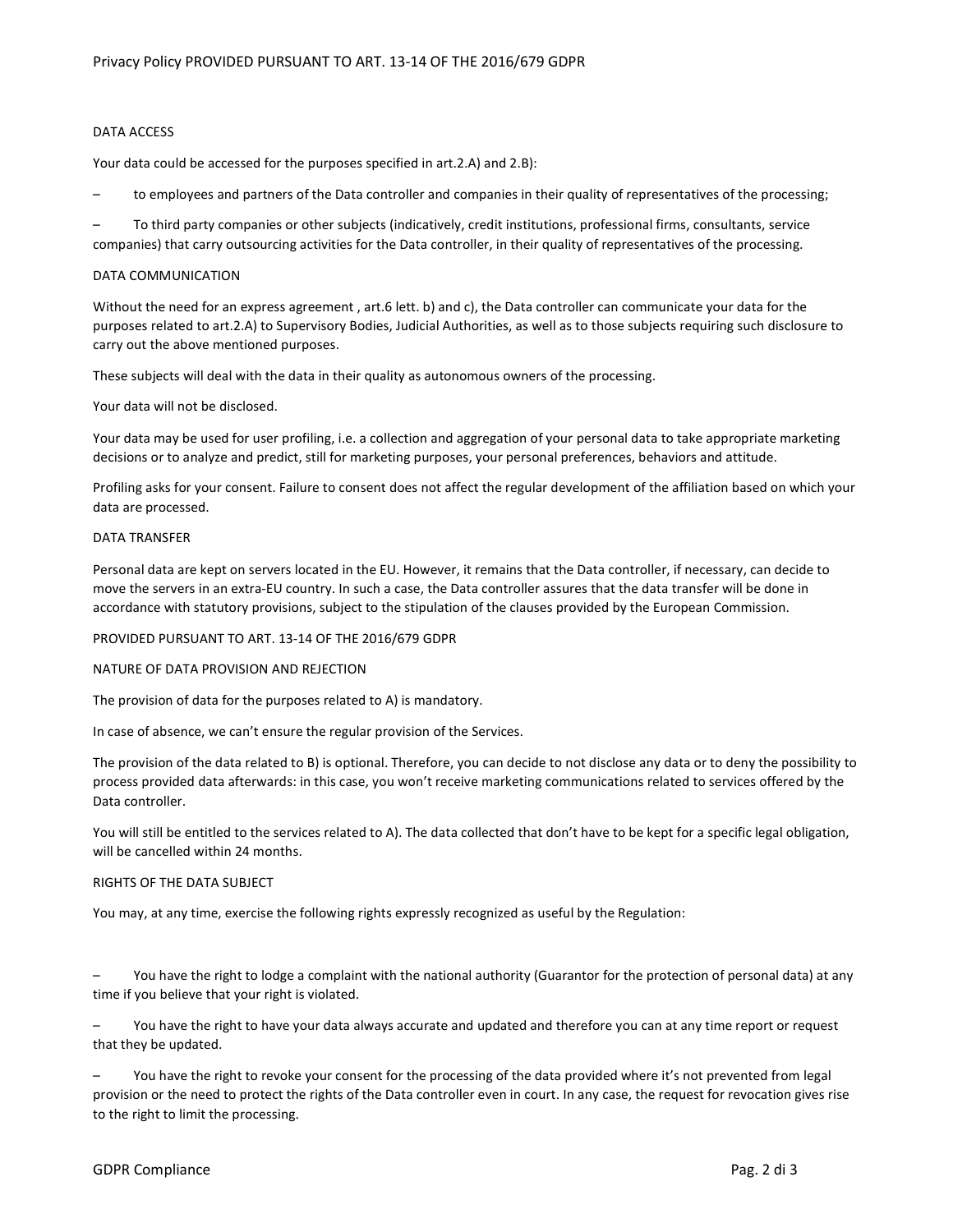# DATA ACCESS

Your data could be accessed for the purposes specified in art.2.A) and 2.B):

– to employees and partners of the Data controller and companies in their quality of representatives of the processing;

– To third party companies or other subjects (indicatively, credit institutions, professional firms, consultants, service companies) that carry outsourcing activities for the Data controller, in their quality of representatives of the processing.

## DATA COMMUNICATION

Without the need for an express agreement , art.6 lett. b) and c), the Data controller can communicate your data for the purposes related to art.2.A) to Supervisory Bodies, Judicial Authorities, as well as to those subjects requiring such disclosure to carry out the above mentioned purposes.

These subjects will deal with the data in their quality as autonomous owners of the processing.

## Your data will not be disclosed.

Your data may be used for user profiling, i.e. a collection and aggregation of your personal data to take appropriate marketing decisions or to analyze and predict, still for marketing purposes, your personal preferences, behaviors and attitude.

Profiling asks for your consent. Failure to consent does not affect the regular development of the affiliation based on which your data are processed.

### DATA TRANSFER

Personal data are kept on servers located in the EU. However, it remains that the Data controller, if necessary, can decide to move the servers in an extra-EU country. In such a case, the Data controller assures that the data transfer will be done in accordance with statutory provisions, subject to the stipulation of the clauses provided by the European Commission.

### PROVIDED PURSUANT TO ART. 13-14 OF THE 2016/679 GDPR

## NATURE OF DATA PROVISION AND REJECTION

The provision of data for the purposes related to A) is mandatory.

In case of absence, we can't ensure the regular provision of the Services.

The provision of the data related to B) is optional. Therefore, you can decide to not disclose any data or to deny the possibility to process provided data afterwards: in this case, you won't receive marketing communications related to services offered by the Data controller.

You will still be entitled to the services related to A). The data collected that don't have to be kept for a specific legal obligation, will be cancelled within 24 months.

### RIGHTS OF THE DATA SUBJECT

You may, at any time, exercise the following rights expressly recognized as useful by the Regulation:

– You have the right to lodge a complaint with the national authority (Guarantor for the protection of personal data) at any time if you believe that your right is violated.

– You have the right to have your data always accurate and updated and therefore you can at any time report or request that they be updated.

You have the right to revoke your consent for the processing of the data provided where it's not prevented from legal provision or the need to protect the rights of the Data controller even in court. In any case, the request for revocation gives rise to the right to limit the processing.